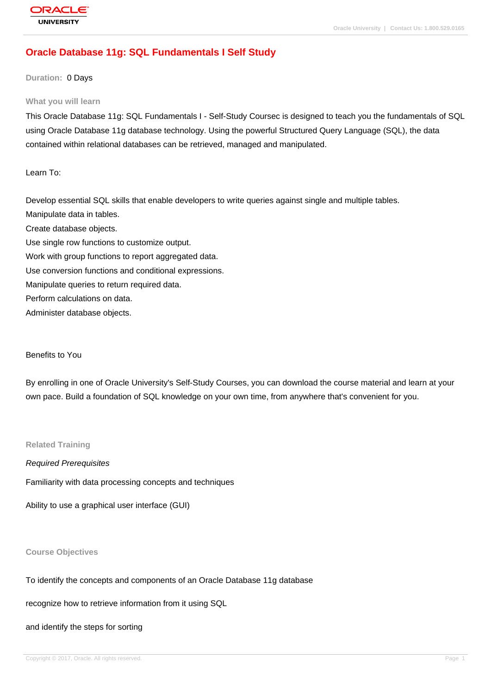# **[Oracle Databas](http://education.oracle.com/pls/web_prod-plq-dad/db_pages.getpage?page_id=3)e 11g: SQL Fundamentals I Self Study**

## **Duration:** 0 Days

#### **What you will learn**

This Oracle Database 11g: SQL Fundamentals I - Self-Study Coursec is designed to teach you the fundamentals of SQL using Oracle Database 11g database technology. Using the powerful Structured Query Language (SQL), the data contained within relational databases can be retrieved, managed and manipulated.

Learn To:

Develop essential SQL skills that enable developers to write queries against single and multiple tables. Manipulate data in tables. Create database objects. Use single row functions to customize output. Work with group functions to report aggregated data. Use conversion functions and conditional expressions. Manipulate queries to return required data. Perform calculations on data. Administer database objects.

#### Benefits to You

By enrolling in one of Oracle University's Self-Study Courses, you can download the course material and learn at your own pace. Build a foundation of SQL knowledge on your own time, from anywhere that's convenient for you.

## **Related Training**

Required Prerequisites Familiarity with data processing concepts and techniques

Ability to use a graphical user interface (GUI)

### **Course Objectives**

To identify the concepts and components of an Oracle Database 11g database

recognize how to retrieve information from it using SQL

and identify the steps for sorting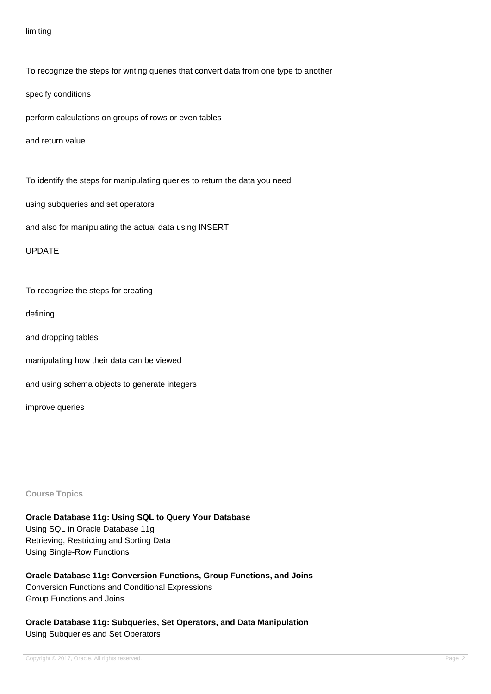## limiting

To recognize the steps for writing queries that convert data from one type to another

specify conditions

perform calculations on groups of rows or even tables

and return value

To identify the steps for manipulating queries to return the data you need

using subqueries and set operators

and also for manipulating the actual data using INSERT

UPDATE

To recognize the steps for creating

defining

and dropping tables

manipulating how their data can be viewed

and using schema objects to generate integers

improve queries

**Course Topics**

**Oracle Database 11g: Using SQL to Query Your Database** Using SQL in Oracle Database 11g Retrieving, Restricting and Sorting Data Using Single-Row Functions

**Oracle Database 11g: Conversion Functions, Group Functions, and Joins** Conversion Functions and Conditional Expressions Group Functions and Joins

**Oracle Database 11g: Subqueries, Set Operators, and Data Manipulation** Using Subqueries and Set Operators